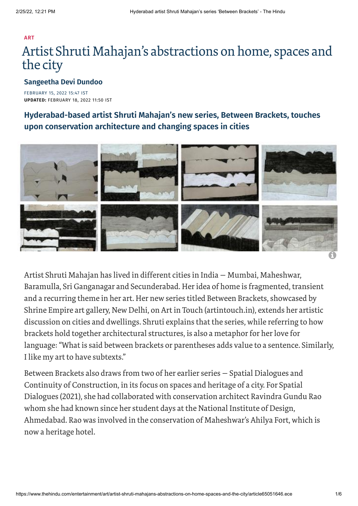# **[ART](https://www.thehindu.com/entertainment/art/)** Artist Shruti Mahajan's abstractions on home, spaces and the city

### **[Sangeetha](https://www.thehindu.com/profile/author/Sangeetha-Devi-Dundoo-738/) Devi Dundoo**

FEBRUARY 15, 2022 15:47 IST **UPDATED:** FEBRUARY 18, 2022 11:50 IST

## **Hyderabad-based artist Shruti Mahajan's new series, Between Brackets, touches upon conservation architecture and changing spaces in cities**



Artist Shruti Mahajan has lived in different cities in India — Mumbai, Maheshwar, Baramulla, Sri Ganganagar and Secunderabad. Heridea of home is fragmented, transient and a recurring theme in her art. Her new series titled Between Brackets, showcased by Shrine Empire art gallery, New Delhi, on Art in Touch (artintouch.in), extends her artistic discussion on cities and dwellings. Shruti explains that the series, while referring to how brackets hold together architectural structures, is also a metaphor for her love for language: "What is said between brackets or parentheses adds value to a sentence. Similarly, I like my art to have subtexts."

Between Brackets also draws from two of her earlier series — Spatial Dialogues and Continuity of Construction, in its focus on spaces and heritage of a city. For Spatial Dialogues (2021), she had collaborated with conservation architect Ravindra Gundu Rao whom she had known since her student days at the National Institute of Design, Ahmedabad. Rao was involved in the conservation of Maheshwar's Ahilya Fort, which is now a heritage hotel.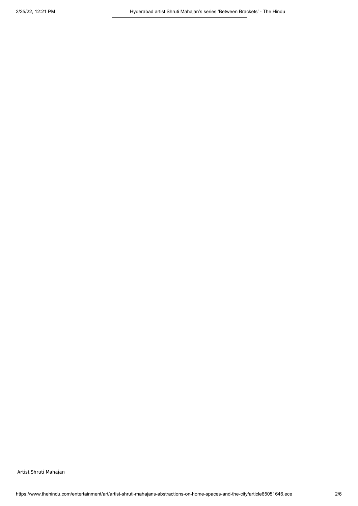Artist Shruti Mahajan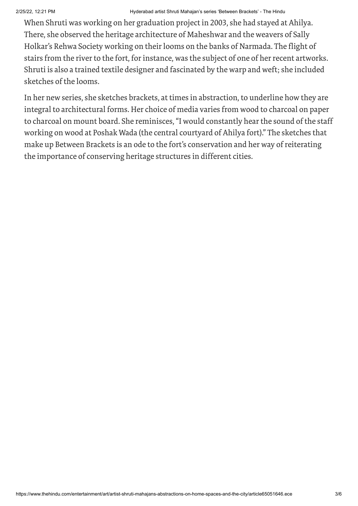#### 2/25/22, 12:21 PM Hyderabad artist Shruti Mahajan's series 'Between Brackets' - The Hindu

When Shruti was working on her graduation project in 2003, she had stayed at Ahilya. There, she observed the heritage architecture of Maheshwar and the weavers of Sally Holkar's Rehwa Society working on theirlooms on the banks of Narmada. The flight of stairs from the river to the fort, for instance, was the subject of one of her recent artworks. Shruti is also a trained textile designer and fascinated by the warp and weft; she included sketches of the looms.

In her new series, she sketches brackets, at times in abstraction, to underline how they are integral to architectural forms. Her choice of media varies from wood to charcoal on paper to charcoal on mount board. She reminisces, "I would constantly hear the sound of the staff working on wood at Poshak Wada (the central courtyard of Ahilya fort)." The sketches that make up Between Brackets is an ode to the fort's conservation and her way of reiterating the importance of conserving heritage structures in different cities.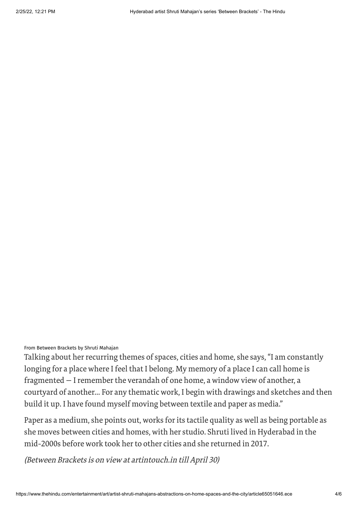From Between Brackets by Shruti Mahajan

Talking about her recurring themes of spaces, cities and home, she says, "I am constantly longing for a place where I feel that I belong. My memory of a place I can call home is fragmented - I remember the verandah of one home, a window view of another, a courtyard of another… For any thematic work, I begin with drawings and sketches and then build it up. I have found myself moving between textile and paper as media."

Paper as a medium, she points out, works forits tactile quality as well as being portable as she moves between cities and homes, with her studio. Shruti lived in Hyderabad in the mid-2000s before work took herto other cities and she returned in 2017.

(Between Brackets is on view at artintouch.in till April 30)